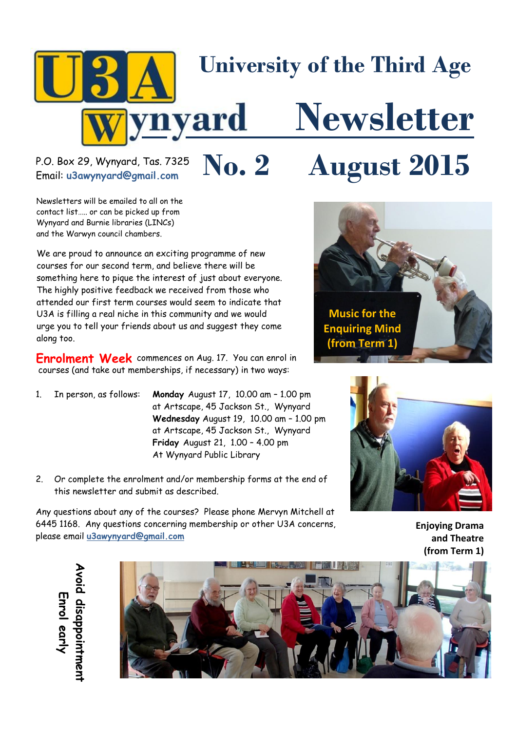

# Email: **u3awynyard@gmail.com**

# P.O. Box 29, Wynyard, Tas. 7325  $\sum_{\text{Email: u3awynyardCamail.com}}$   $\sum_{\text{Coul}}$   $\sum_{\text{Eul}}$

Newsletters will be emailed to all on the contact list….. or can be picked up from Wynyard and Burnie libraries (LINCs) and the Warwyn council chambers.

We are proud to announce an exciting programme of new courses for our second term, and believe there will be something here to pique the interest of just about everyone. The highly positive feedback we received from those who attended our first term courses would seem to indicate that U3A is filling a real niche in this community and we would urge you to tell your friends about us and suggest they come along too.

**Enrolment Week** commences on Aug. 17. You can enrol in courses (and take out memberships, if necessary) in two ways:

- 1. In person, as follows: **Monday** August 17, 10.00 am 1.00 pm at Artscape, 45 Jackson St., Wynyard **Wednesday** August 19, 10.00 am – 1.00 pm at Artscape, 45 Jackson St., Wynyard **Friday** August 21, 1.00 – 4.00 pm At Wynyard Public Library
- 2. Or complete the enrolment and/or membership forms at the end of this newsletter and submit as described.

Any questions about any of the courses? Please phone Mervyn Mitchell at 6445 1168. Any questions concerning membership or other U3A concerns, please email **[u3awynyard@gmail.com](mailto:u3awynyard@gmail.com)**





**Enjoying Drama and Theatre (from Term 1)**

Enrol early **[u3awynyard@gmail.com](mailto:u3awynyard@gmail.com) Avoid disappointment Enrol early**

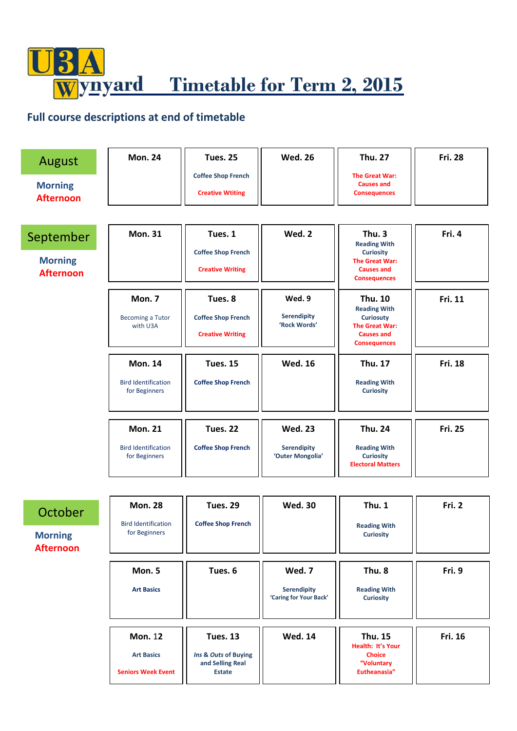$\frac{9}{2}$ **WE Timetable for Term 2, 2015** 

### **Full course descriptions at end of timetable**

| August<br><b>Morning</b><br><b>Afternoon</b>    | <b>Mon. 24</b>                                                   | <b>Tues. 25</b><br><b>Coffee Shop French</b><br><b>Creative Wtiting</b>      | <b>Wed. 26</b>                                         | <b>Thu. 27</b><br>The Great War:<br><b>Causes and</b><br><b>Consequences</b>                                                   | <b>Fri. 28</b> |
|-------------------------------------------------|------------------------------------------------------------------|------------------------------------------------------------------------------|--------------------------------------------------------|--------------------------------------------------------------------------------------------------------------------------------|----------------|
| September<br><b>Morning</b><br><b>Afternoon</b> | <b>Mon. 31</b>                                                   | Tues. 1<br><b>Coffee Shop French</b><br><b>Creative Writing</b>              | Wed. 2                                                 | Thu. 3<br><b>Reading With</b><br><b>Curiosity</b><br><b>The Great War:</b><br><b>Causes and</b><br><b>Consequences</b>         | Fri. 4         |
|                                                 | Mon. 7<br><b>Becoming a Tutor</b><br>with U3A                    | Tues. 8<br><b>Coffee Shop French</b><br><b>Creative Writing</b>              | Wed. 9<br><b>Serendipity</b><br>'Rock Words'           | <b>Thu. 10</b><br><b>Reading With</b><br><b>Curiosuty</b><br><b>The Great War:</b><br><b>Causes and</b><br><b>Consequences</b> | Fri. 11        |
|                                                 | <b>Mon. 14</b><br><b>Bird Identification</b><br>for Beginners    | <b>Tues. 15</b><br><b>Coffee Shop French</b>                                 | <b>Wed. 16</b>                                         | <b>Thu. 17</b><br><b>Reading With</b><br><b>Curiosity</b>                                                                      | Fri. 18        |
|                                                 | <b>Mon. 21</b><br><b>Bird Identification</b><br>for Beginners    | <b>Tues. 22</b><br><b>Coffee Shop French</b>                                 | <b>Wed. 23</b><br>Serendipity<br>'Outer Mongolia'      | <b>Thu. 24</b><br><b>Reading With</b><br><b>Curiosity</b><br><b>Electoral Matters</b>                                          | <b>Fri. 25</b> |
| October<br><b>Morning</b><br><b>Afternoon</b>   | <b>Mon. 28</b><br><b>Bird Identification</b><br>for Beginners    | <b>Tues. 29</b><br><b>Coffee Shop French</b>                                 | <b>Wed. 30</b>                                         | <b>Thu. 1</b><br><b>Reading With</b><br><b>Curiosity</b>                                                                       | Fri. 2         |
|                                                 | Mon. 5<br><b>Art Basics</b>                                      | Tues. 6                                                                      | Wed. 7<br><b>Serendipity</b><br>'Caring for Your Back' | Thu. 8<br><b>Reading With</b><br><b>Curiosity</b>                                                                              | Fri. 9         |
|                                                 | <b>Mon. 12</b><br><b>Art Basics</b><br><b>Seniors Week Event</b> | <b>Tues. 13</b><br>Ins & Outs of Buying<br>and Selling Real<br><b>Estate</b> | <b>Wed. 14</b>                                         | <b>Thu. 15</b><br>Health: It's Your<br><b>Choice</b><br>"Voluntary<br>Eutheanasia"                                             | Fri. 16        |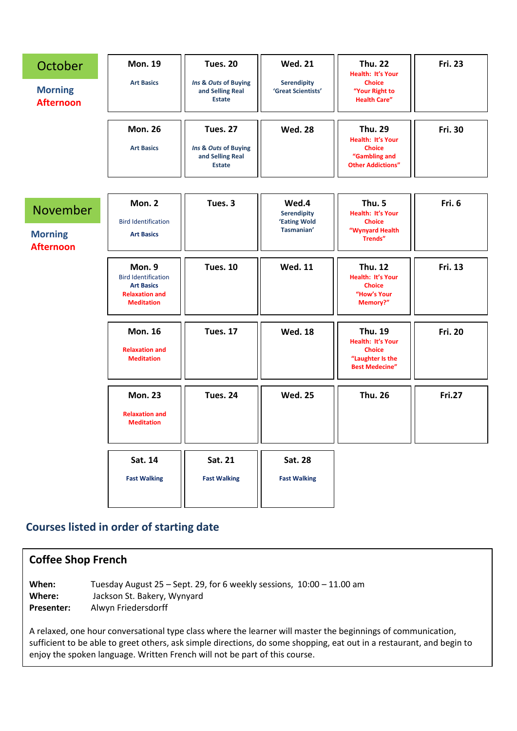| October                            | <b>Mon. 19</b>                                                                                          | <b>Tues. 20</b>                                           | <b>Wed. 21</b>                           | <b>Thu. 22</b><br>Health: It's Your                                                               | <b>Fri. 23</b> |
|------------------------------------|---------------------------------------------------------------------------------------------------------|-----------------------------------------------------------|------------------------------------------|---------------------------------------------------------------------------------------------------|----------------|
| <b>Morning</b><br><b>Afternoon</b> | <b>Art Basics</b>                                                                                       | Ins & Outs of Buying<br>and Selling Real<br><b>Estate</b> | <b>Serendipity</b><br>'Great Scientists' | <b>Choice</b><br>"Your Right to<br><b>Health Care"</b>                                            |                |
|                                    | <b>Mon. 26</b>                                                                                          | <b>Tues. 27</b>                                           | <b>Wed. 28</b>                           | <b>Thu. 29</b><br>Health: It's Your                                                               | <b>Fri. 30</b> |
|                                    | <b>Art Basics</b>                                                                                       | Ins & Outs of Buying<br>and Selling Real<br><b>Estate</b> |                                          | <b>Choice</b><br>"Gambling and<br><b>Other Addictions"</b>                                        |                |
|                                    |                                                                                                         |                                                           |                                          |                                                                                                   |                |
| November                           | Mon. 2                                                                                                  | Tues. 3                                                   | Wed.4<br>Serendipity                     | Thu. 5<br>Health: It's Your                                                                       | Fri. 6         |
| <b>Morning</b>                     | <b>Bird Identification</b><br><b>Art Basics</b>                                                         |                                                           | 'Eating Wold<br>Tasmanian'               | <b>Choice</b><br>"Wynyard Health<br>Trends"                                                       |                |
| <b>Afternoon</b>                   |                                                                                                         |                                                           |                                          |                                                                                                   |                |
|                                    | Mon. 9<br><b>Bird Identification</b><br><b>Art Basics</b><br><b>Relaxation and</b><br><b>Meditation</b> | <b>Tues. 10</b>                                           | <b>Wed. 11</b>                           | <b>Thu. 12</b><br>Health: It's Your<br><b>Choice</b><br>"How's Your<br>Memory?"                   | Fri. 13        |
|                                    | <b>Mon. 16</b><br><b>Relaxation and</b><br><b>Meditation</b>                                            | <b>Tues. 17</b>                                           | <b>Wed. 18</b>                           | <b>Thu. 19</b><br>Health: It's Your<br><b>Choice</b><br>"Laughter Is the<br><b>Best Medecine"</b> | <b>Fri. 20</b> |
|                                    | <b>Mon. 23</b><br><b>Relaxation and</b><br><b>Meditation</b>                                            | <b>Tues. 24</b>                                           | <b>Wed. 25</b>                           | <b>Thu. 26</b>                                                                                    | <b>Fri.27</b>  |
|                                    | Sat. 14                                                                                                 | Sat. 21                                                   | <b>Sat. 28</b>                           |                                                                                                   |                |
|                                    | <b>Fast Walking</b>                                                                                     | <b>Fast Walking</b>                                       | <b>Fast Walking</b>                      |                                                                                                   |                |
|                                    |                                                                                                         |                                                           |                                          |                                                                                                   |                |

## **Courses listed in order of starting date**

| <b>Coffee Shop French</b>            |                                                                                                                                                                                                                                                                                                                     |  |  |  |  |
|--------------------------------------|---------------------------------------------------------------------------------------------------------------------------------------------------------------------------------------------------------------------------------------------------------------------------------------------------------------------|--|--|--|--|
| When:<br>Where:<br><b>Presenter:</b> | Tuesday August $25$ – Sept. 29, for 6 weekly sessions, $10:00 - 11.00$ am<br>Jackson St. Bakery, Wynyard<br>Alwyn Friedersdorff                                                                                                                                                                                     |  |  |  |  |
|                                      | A relaxed, one hour conversational type class where the learner will master the beginnings of communication,<br>sufficient to be able to greet others, ask simple directions, do some shopping, eat out in a restaurant, and begin to<br>enjoy the spoken language. Written French will not be part of this course. |  |  |  |  |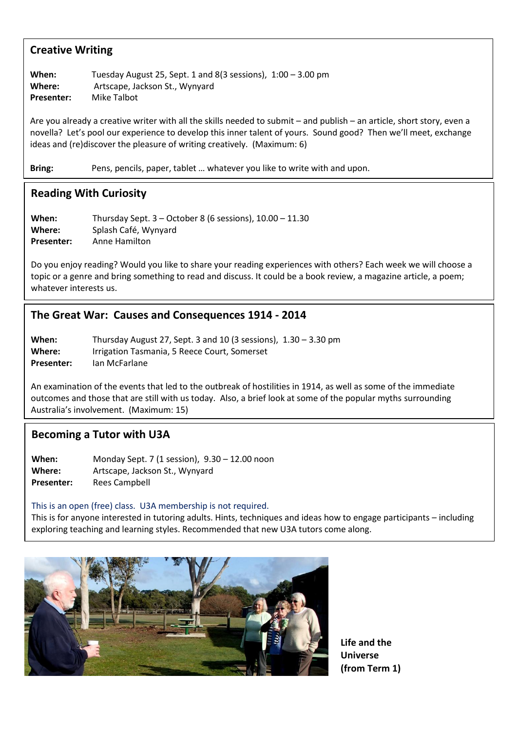#### **Creative Writing**

**When:** Tuesday August 25, Sept. 1 and 8(3 sessions), 1:00 – 3.00 pm **Where:** Artscape, Jackson St., Wynyard **Presenter:** Mike Talbot

Are you already a creative writer with all the skills needed to submit – and publish – an article, short story, even a novella? Let's pool our experience to develop this inner talent of yours. Sound good? Then we'll meet, exchange ideas and (re)discover the pleasure of writing creatively. (Maximum: 6)

**Bring:** Pens, pencils, paper, tablet … whatever you like to write with and upon.

#### **Reading With Curiosity**

**When:** Thursday Sept. 3 – October 8 (6 sessions), 10.00 – 11.30 **Where:** Splash Café, Wynyard **Presenter:** Anne Hamilton

Do you enjoy reading? Would you like to share your reading experiences with others? Each week we will choose a topic or a genre and bring something to read and discuss. It could be a book review, a magazine article, a poem; whatever interests us.

#### **The Great War: Causes and Consequences 1914 - 2014**

| When:             | Thursday August 27, Sept. 3 and 10 (3 sessions), $1.30 - 3.30$ pm |
|-------------------|-------------------------------------------------------------------|
| Where:            | Irrigation Tasmania, 5 Reece Court, Somerset                      |
| <b>Presenter:</b> | lan McFarlane                                                     |

An examination of the events that led to the outbreak of hostilities in 1914, as well as some of the immediate outcomes and those that are still with us today. Also, a brief look at some of the popular myths surrounding Australia's involvement. (Maximum: 15)

#### **Becoming a Tutor with U3A**

**When:** Monday Sept. 7 (1 session), 9.30 – 12.00 noon **Where:** Artscape, Jackson St., Wynyard **Presenter:** Rees Campbell

#### This is an open (free) class. U3A membership is not required.

This is for anyone interested in tutoring adults. Hints, techniques and ideas how to engage participants – including exploring teaching and learning styles. Recommended that new U3A tutors come along.



**Life and the Universe (from Term 1)**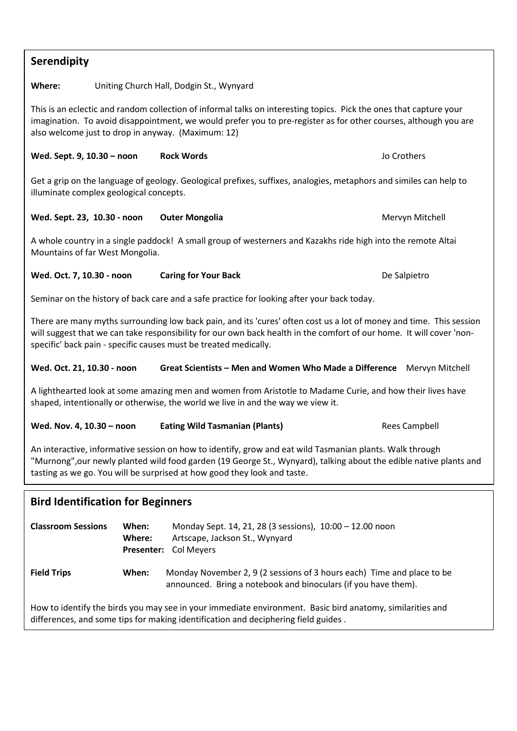| <b>Serendipity</b>                                                                                                                                                                                                                                                                                         |                                                                                                                                           |                                                                                                                                                                                                                                                                                                                 |  |                      |  |
|------------------------------------------------------------------------------------------------------------------------------------------------------------------------------------------------------------------------------------------------------------------------------------------------------------|-------------------------------------------------------------------------------------------------------------------------------------------|-----------------------------------------------------------------------------------------------------------------------------------------------------------------------------------------------------------------------------------------------------------------------------------------------------------------|--|----------------------|--|
| Where:                                                                                                                                                                                                                                                                                                     | Uniting Church Hall, Dodgin St., Wynyard                                                                                                  |                                                                                                                                                                                                                                                                                                                 |  |                      |  |
| also welcome just to drop in anyway. (Maximum: 12)                                                                                                                                                                                                                                                         |                                                                                                                                           | This is an eclectic and random collection of informal talks on interesting topics. Pick the ones that capture your<br>imagination. To avoid disappointment, we would prefer you to pre-register as for other courses, although you are                                                                          |  |                      |  |
| Wed. Sept. 9, 10.30 - noon                                                                                                                                                                                                                                                                                 |                                                                                                                                           | <b>Rock Words</b>                                                                                                                                                                                                                                                                                               |  | Jo Crothers          |  |
| illuminate complex geological concepts.                                                                                                                                                                                                                                                                    |                                                                                                                                           | Get a grip on the language of geology. Geological prefixes, suffixes, analogies, metaphors and similes can help to                                                                                                                                                                                              |  |                      |  |
| Wed. Sept. 23, 10.30 - noon                                                                                                                                                                                                                                                                                |                                                                                                                                           | <b>Outer Mongolia</b>                                                                                                                                                                                                                                                                                           |  | Mervyn Mitchell      |  |
| Mountains of far West Mongolia.                                                                                                                                                                                                                                                                            |                                                                                                                                           | A whole country in a single paddock! A small group of westerners and Kazakhs ride high into the remote Altai                                                                                                                                                                                                    |  |                      |  |
| Wed. Oct. 7, 10.30 - noon                                                                                                                                                                                                                                                                                  |                                                                                                                                           | <b>Caring for Your Back</b>                                                                                                                                                                                                                                                                                     |  | De Salpietro         |  |
|                                                                                                                                                                                                                                                                                                            |                                                                                                                                           | Seminar on the history of back care and a safe practice for looking after your back today.                                                                                                                                                                                                                      |  |                      |  |
|                                                                                                                                                                                                                                                                                                            |                                                                                                                                           | There are many myths surrounding low back pain, and its 'cures' often cost us a lot of money and time. This session<br>will suggest that we can take responsibility for our own back health in the comfort of our home. It will cover 'non-<br>specific' back pain - specific causes must be treated medically. |  |                      |  |
| Wed. Oct. 21, 10.30 - noon<br>Great Scientists - Men and Women Who Made a Difference Mervyn Mitchell                                                                                                                                                                                                       |                                                                                                                                           |                                                                                                                                                                                                                                                                                                                 |  |                      |  |
|                                                                                                                                                                                                                                                                                                            |                                                                                                                                           | A lighthearted look at some amazing men and women from Aristotle to Madame Curie, and how their lives have<br>shaped, intentionally or otherwise, the world we live in and the way we view it.                                                                                                                  |  |                      |  |
| Wed. Nov. 4, 10.30 - noon                                                                                                                                                                                                                                                                                  |                                                                                                                                           | <b>Eating Wild Tasmanian (Plants)</b>                                                                                                                                                                                                                                                                           |  | <b>Rees Campbell</b> |  |
| An interactive, informative session on how to identify, grow and eat wild Tasmanian plants. Walk through<br>"Murnong", our newly planted wild food garden (19 George St., Wynyard), talking about the edible native plants and<br>tasting as we go. You will be surprised at how good they look and taste. |                                                                                                                                           |                                                                                                                                                                                                                                                                                                                 |  |                      |  |
| <b>Bird Identification for Beginners</b>                                                                                                                                                                                                                                                                   |                                                                                                                                           |                                                                                                                                                                                                                                                                                                                 |  |                      |  |
| <b>Classroom Sessions</b>                                                                                                                                                                                                                                                                                  | When:<br>Monday Sept. 14, 21, 28 (3 sessions), 10:00 - 12.00 noon<br>Where:<br>Artscape, Jackson St., Wynyard<br>Col Meyers<br>Presenter: |                                                                                                                                                                                                                                                                                                                 |  |                      |  |
| <b>Field Trips</b>                                                                                                                                                                                                                                                                                         | When:                                                                                                                                     | Monday November 2, 9 (2 sessions of 3 hours each) Time and place to be<br>announced. Bring a notebook and binoculars (if you have them).                                                                                                                                                                        |  |                      |  |
| How to identify the birds you may see in your immediate environment. Basic bird anatomy, similarities and<br>differences, and some tips for making identification and deciphering field guides.                                                                                                            |                                                                                                                                           |                                                                                                                                                                                                                                                                                                                 |  |                      |  |
|                                                                                                                                                                                                                                                                                                            |                                                                                                                                           |                                                                                                                                                                                                                                                                                                                 |  |                      |  |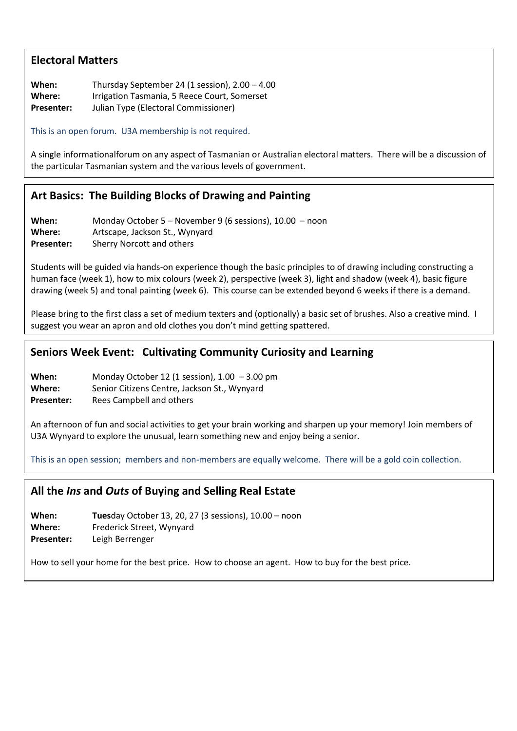#### **Electoral Matters**

**When:** Thursday September 24 (1 session), 2.00 – 4.00 **Where:** Irrigation Tasmania, 5 Reece Court, Somerset

**Presenter:** Julian Type (Electoral Commissioner)

This is an open forum. U3A membership is not required.

A single informationalforum on any aspect of Tasmanian or Australian electoral matters. There will be a discussion of the particular Tasmanian system and the various levels of government.

#### **Art Basics: The Building Blocks of Drawing and Painting**

**When:** Monday October 5 – November 9 (6 sessions), 10.00 – noon **Where:** Artscape, Jackson St., Wynyard **Presenter:** Sherry Norcott and others

Students will be guided via hands-on experience though the basic principles to of drawing including constructing a human face (week 1), how to mix colours (week 2), perspective (week 3), light and shadow (week 4), basic figure drawing (week 5) and tonal painting (week 6). This course can be extended beyond 6 weeks if there is a demand.

Please bring to the first class a set of medium texters and (optionally) a basic set of brushes. Also a creative mind. I suggest you wear an apron and old clothes you don't mind getting spattered.

#### **Seniors Week Event: Cultivating Community Curiosity and Learning**

**When:** Monday October 12 (1 session), 1.00 – 3.00 pm

**Where:** Senior Citizens Centre, Jackson St., Wynyard

**Presenter:** Rees Campbell and others

An afternoon of fun and social activities to get your brain working and sharpen up your memory! Join members of U3A Wynyard to explore the unusual, learn something new and enjoy being a senior.

This is an open session; members and non-members are equally welcome. There will be a gold coin collection.

#### **All the** *Ins* **and** *Outs* **of Buying and Selling Real Estate**

**When: Tues**day October 13, 20, 27 (3 sessions), 10.00 – noon **Where:** Frederick Street, Wynyard **Presenter:** Leigh Berrenger

How to sell your home for the best price. How to choose an agent. How to buy for the best price.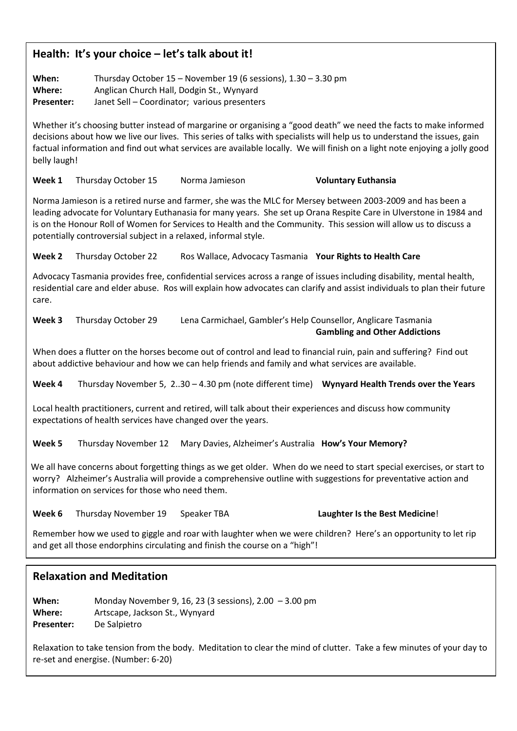#### **Health: It's your choice – let's talk about it!**

**When:** Thursday October 15 – November 19 (6 sessions), 1.30 – 3.30 pm **Where:** Anglican Church Hall, Dodgin St., Wynyard

**Presenter:** Janet Sell – Coordinator; various presenters

Whether it's choosing butter instead of margarine or organising a "good death" we need the facts to make informed decisions about how we live our lives. This series of talks with specialists will help us to understand the issues, gain factual information and find out what services are available locally. We will finish on a light note enjoying a jolly good belly laugh!

**Week 1** Thursday October 15 Norma Jamieson **Voluntary Euthansia**

Norma Jamieson is a retired nurse and farmer, she was the MLC for Mersey between 2003-2009 and has been a leading advocate for Voluntary Euthanasia for many years. She set up Orana Respite Care in Ulverstone in 1984 and is on the Honour Roll of Women for Services to Health and the Community. This session will allow us to discuss a potentially controversial subject in a relaxed, informal style.

**Week 2** Thursday October 22 Ros Wallace, Advocacy Tasmania **Your Rights to Health Care**

Advocacy Tasmania provides free, confidential services across a range of issues including disability, mental health, residential care and elder abuse. Ros will explain how advocates can clarify and assist individuals to plan their future care.

**Week 3** Thursday October 29 Lena Carmichael, Gambler's Help Counsellor, Anglicare Tasmania **Gambling and Other Addictions**

When does a flutter on the horses become out of control and lead to financial ruin, pain and suffering? Find out about addictive behaviour and how we can help friends and family and what services are available.

**Week 4** Thursday November 5, 2..30 – 4.30 pm (note different time) **Wynyard Health Trends over the Years**

Local health practitioners, current and retired, will talk about their experiences and discuss how community expectations of health services have changed over the years.

**Week 5** Thursday November 12 Mary Davies, Alzheimer's Australia **How's Your Memory?**

We all have concerns about forgetting things as we get older. When do we need to start special exercises, or start to worry? Alzheimer's Australia will provide a comprehensive outline with suggestions for preventative action and information on services for those who need them.

**Week 6** Thursday November 19 Speaker TBA **Laughter Is the Best Medicine**!

Remember how we used to giggle and roar with laughter when we were children? Here's an opportunity to let rip and get all those endorphins circulating and finish the course on a "high"!

#### **Relaxation and Meditation**

**When:** Monday November 9, 16, 23 (3 sessions), 2.00 – 3.00 pm **Where:** Artscape, Jackson St., Wynyard **Presenter:** De Salpietro Where: Presenter:

Relaxation to take tension from the body. Meditation to clear the mind of clutter. Take a few minutes of your day to re-set and energise. (Number: 6-20)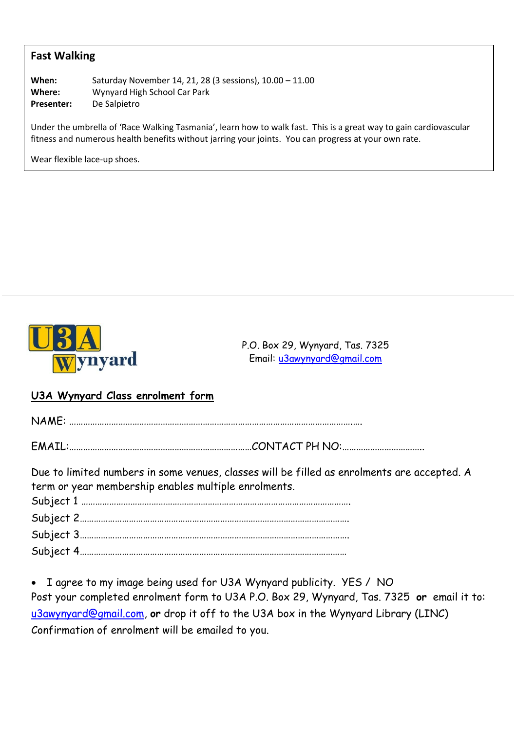#### **Fast Walking**

**When:** Saturday November 14, 21, 28 (3 sessions), 10.00 – 11.00 **Where:** Wynyard High School Car Park **Presenter:** De Salpietro

Under the umbrella of 'Race Walking Tasmania', learn how to walk fast. This is a great way to gain cardiovascular fitness and numerous health benefits without jarring your joints. You can progress at your own rate.

Wear flexible lace-up shoes.



P.O. Box 29, Wynyard, Tas. 7325 Email: [u3awynyard@gmail.com](mailto:u3awynyard@gmail.com)

#### **U3A Wynyard Class enrolment form**

| Due to limited numbers in some venues, classes will be filled as enrolments are accepted. A<br>term or year membership enables multiple enrolments. |  |
|-----------------------------------------------------------------------------------------------------------------------------------------------------|--|
|                                                                                                                                                     |  |
|                                                                                                                                                     |  |

• I agree to my image being used for U3A Wynyard publicity. YES / NO Post your completed enrolment form to U3A P.O. Box 29, Wynyard, Tas. 7325 **or** email it to: [u3awynyard@gmail.com,](mailto:u3awynyard@gmail.com) **or** drop it off to the U3A box in the Wynyard Library (LINC) Confirmation of enrolment will be emailed to you.